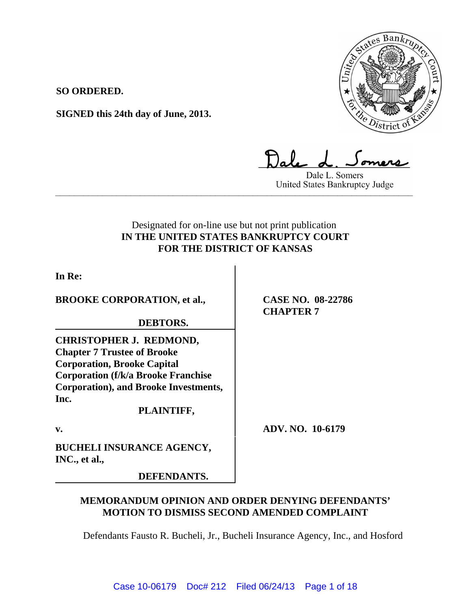

**SO ORDERED.**

**SIGNED this 24th day of June, 2013.**

Dale L. Somers United States Bankruptcy Judge **\_\_\_\_\_\_\_\_\_\_\_\_\_\_\_\_\_\_\_\_\_\_\_\_\_\_\_\_\_\_\_\_\_\_\_\_\_\_\_\_\_\_\_\_\_\_\_\_\_\_\_\_\_\_\_\_\_\_\_\_\_\_\_\_\_\_\_\_\_\_\_\_\_\_\_\_**

# Designated for on-line use but not print publication **IN THE UNITED STATES BANKRUPTCY COURT FOR THE DISTRICT OF KANSAS**

**In Re:**

**BROOKE CORPORATION, et al.,**

**DEBTORS.**

**CHRISTOPHER J. REDMOND, Chapter 7 Trustee of Brooke Corporation, Brooke Capital Corporation (f/k/a Brooke Franchise Corporation), and Brooke Investments, Inc.**

**PLAINTIFF,**

v. **ADV. NO. 10-6179** 

**CASE NO. 08-22786**

**CHAPTER 7**

**BUCHELI INSURANCE AGENCY, INC., et al.,** 

**DEFENDANTS.**

# **MEMORANDUM OPINION AND ORDER DENYING DEFENDANTS' MOTION TO DISMISS SECOND AMENDED COMPLAINT**

Defendants Fausto R. Bucheli, Jr., Bucheli Insurance Agency, Inc., and Hosford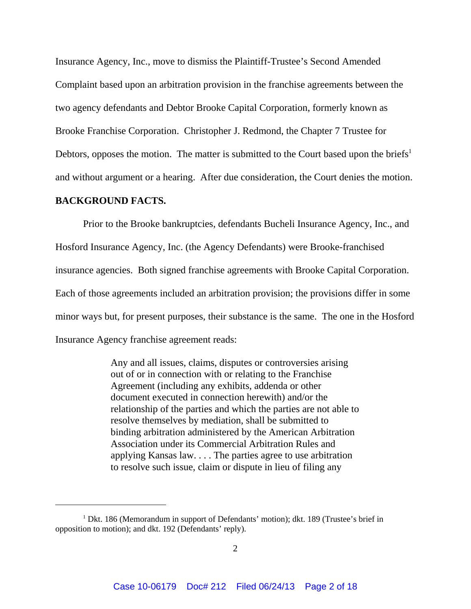Insurance Agency, Inc., move to dismiss the Plaintiff-Trustee's Second Amended Complaint based upon an arbitration provision in the franchise agreements between the two agency defendants and Debtor Brooke Capital Corporation, formerly known as Brooke Franchise Corporation. Christopher J. Redmond, the Chapter 7 Trustee for Debtors, opposes the motion. The matter is submitted to the Court based upon the briefs<sup>1</sup> and without argument or a hearing. After due consideration, the Court denies the motion.

### **BACKGROUND FACTS.**

Prior to the Brooke bankruptcies, defendants Bucheli Insurance Agency, Inc., and Hosford Insurance Agency, Inc. (the Agency Defendants) were Brooke-franchised insurance agencies. Both signed franchise agreements with Brooke Capital Corporation. Each of those agreements included an arbitration provision; the provisions differ in some minor ways but, for present purposes, their substance is the same. The one in the Hosford Insurance Agency franchise agreement reads:

> Any and all issues, claims, disputes or controversies arising out of or in connection with or relating to the Franchise Agreement (including any exhibits, addenda or other document executed in connection herewith) and/or the relationship of the parties and which the parties are not able to resolve themselves by mediation, shall be submitted to binding arbitration administered by the American Arbitration Association under its Commercial Arbitration Rules and applying Kansas law. . . . The parties agree to use arbitration to resolve such issue, claim or dispute in lieu of filing any

<sup>&</sup>lt;sup>1</sup> Dkt. 186 (Memorandum in support of Defendants' motion); dkt. 189 (Trustee's brief in opposition to motion); and dkt. 192 (Defendants' reply).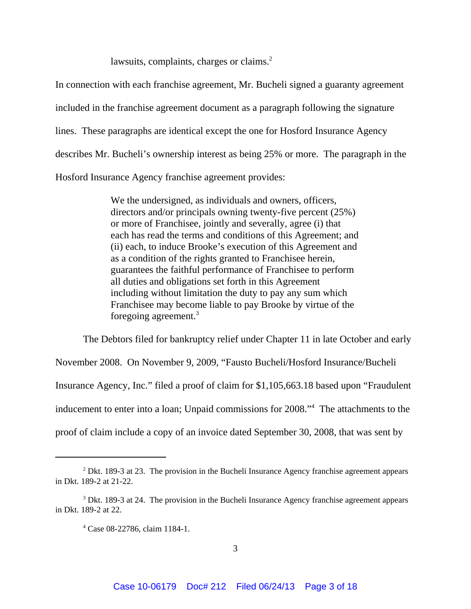lawsuits, complaints, charges or claims.<sup>2</sup>

In connection with each franchise agreement, Mr. Bucheli signed a guaranty agreement included in the franchise agreement document as a paragraph following the signature lines. These paragraphs are identical except the one for Hosford Insurance Agency describes Mr. Bucheli's ownership interest as being 25% or more. The paragraph in the Hosford Insurance Agency franchise agreement provides:

> We the undersigned, as individuals and owners, officers, directors and/or principals owning twenty-five percent (25%) or more of Franchisee, jointly and severally, agree (i) that each has read the terms and conditions of this Agreement; and (ii) each, to induce Brooke's execution of this Agreement and as a condition of the rights granted to Franchisee herein, guarantees the faithful performance of Franchisee to perform all duties and obligations set forth in this Agreement including without limitation the duty to pay any sum which Franchisee may become liable to pay Brooke by virtue of the foregoing agreement.3

The Debtors filed for bankruptcy relief under Chapter 11 in late October and early November 2008. On November 9, 2009, "Fausto Bucheli/Hosford Insurance/Bucheli Insurance Agency, Inc." filed a proof of claim for \$1,105,663.18 based upon "Fraudulent inducement to enter into a loan; Unpaid commissions for 2008."4 The attachments to the proof of claim include a copy of an invoice dated September 30, 2008, that was sent by

 $2$  Dkt. 189-3 at 23. The provision in the Bucheli Insurance Agency franchise agreement appears in Dkt. 189-2 at 21-22.

<sup>&</sup>lt;sup>3</sup> Dkt. 189-3 at 24. The provision in the Bucheli Insurance Agency franchise agreement appears in Dkt. 189-2 at 22.

<sup>4</sup> Case 08-22786, claim 1184-1.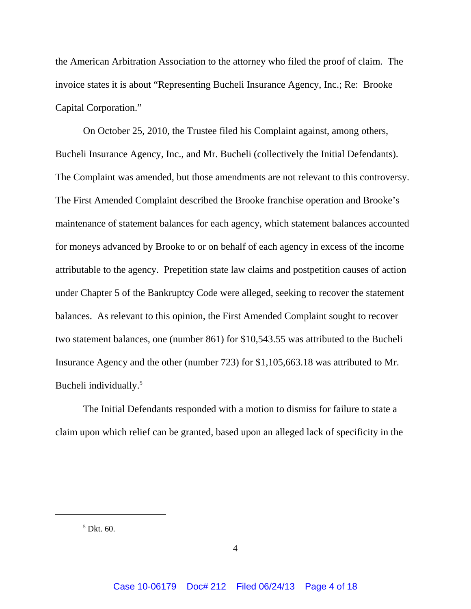the American Arbitration Association to the attorney who filed the proof of claim. The invoice states it is about "Representing Bucheli Insurance Agency, Inc.; Re: Brooke Capital Corporation."

On October 25, 2010, the Trustee filed his Complaint against, among others, Bucheli Insurance Agency, Inc., and Mr. Bucheli (collectively the Initial Defendants). The Complaint was amended, but those amendments are not relevant to this controversy. The First Amended Complaint described the Brooke franchise operation and Brooke's maintenance of statement balances for each agency, which statement balances accounted for moneys advanced by Brooke to or on behalf of each agency in excess of the income attributable to the agency. Prepetition state law claims and postpetition causes of action under Chapter 5 of the Bankruptcy Code were alleged, seeking to recover the statement balances. As relevant to this opinion, the First Amended Complaint sought to recover two statement balances, one (number 861) for \$10,543.55 was attributed to the Bucheli Insurance Agency and the other (number 723) for \$1,105,663.18 was attributed to Mr. Bucheli individually.<sup>5</sup>

The Initial Defendants responded with a motion to dismiss for failure to state a claim upon which relief can be granted, based upon an alleged lack of specificity in the

5 Dkt. 60.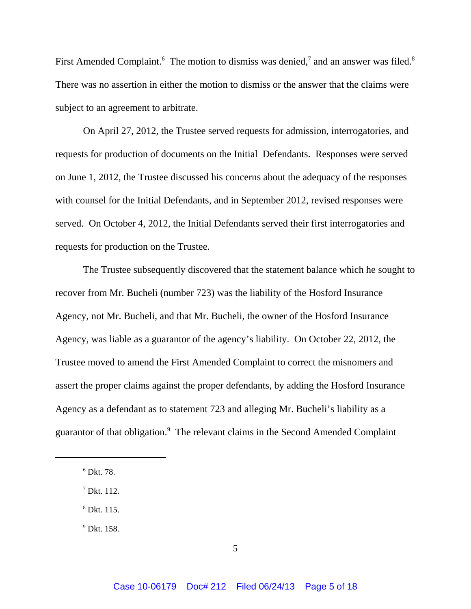First Amended Complaint.<sup>6</sup> The motion to dismiss was denied,<sup>7</sup> and an answer was filed.<sup>8</sup> There was no assertion in either the motion to dismiss or the answer that the claims were subject to an agreement to arbitrate.

On April 27, 2012, the Trustee served requests for admission, interrogatories, and requests for production of documents on the Initial Defendants. Responses were served on June 1, 2012, the Trustee discussed his concerns about the adequacy of the responses with counsel for the Initial Defendants, and in September 2012, revised responses were served. On October 4, 2012, the Initial Defendants served their first interrogatories and requests for production on the Trustee.

The Trustee subsequently discovered that the statement balance which he sought to recover from Mr. Bucheli (number 723) was the liability of the Hosford Insurance Agency, not Mr. Bucheli, and that Mr. Bucheli, the owner of the Hosford Insurance Agency, was liable as a guarantor of the agency's liability. On October 22, 2012, the Trustee moved to amend the First Amended Complaint to correct the misnomers and assert the proper claims against the proper defendants, by adding the Hosford Insurance Agency as a defendant as to statement 723 and alleging Mr. Bucheli's liability as a guarantor of that obligation.<sup>9</sup> The relevant claims in the Second Amended Complaint

8 Dkt. 115.

9 Dkt. 158.

<sup>6</sup> Dkt. 78.

<sup>7</sup> Dkt. 112.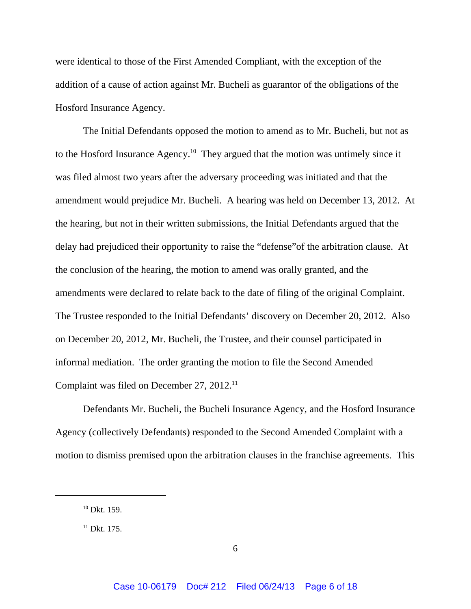were identical to those of the First Amended Compliant, with the exception of the addition of a cause of action against Mr. Bucheli as guarantor of the obligations of the Hosford Insurance Agency.

The Initial Defendants opposed the motion to amend as to Mr. Bucheli, but not as to the Hosford Insurance Agency.<sup>10</sup> They argued that the motion was untimely since it was filed almost two years after the adversary proceeding was initiated and that the amendment would prejudice Mr. Bucheli. A hearing was held on December 13, 2012. At the hearing, but not in their written submissions, the Initial Defendants argued that the delay had prejudiced their opportunity to raise the "defense"of the arbitration clause. At the conclusion of the hearing, the motion to amend was orally granted, and the amendments were declared to relate back to the date of filing of the original Complaint. The Trustee responded to the Initial Defendants' discovery on December 20, 2012. Also on December 20, 2012, Mr. Bucheli, the Trustee, and their counsel participated in informal mediation. The order granting the motion to file the Second Amended Complaint was filed on December 27, 2012.<sup>11</sup>

Defendants Mr. Bucheli, the Bucheli Insurance Agency, and the Hosford Insurance Agency (collectively Defendants) responded to the Second Amended Complaint with a motion to dismiss premised upon the arbitration clauses in the franchise agreements. This

 $10$  Dkt. 159.

 $11$  Dkt. 175.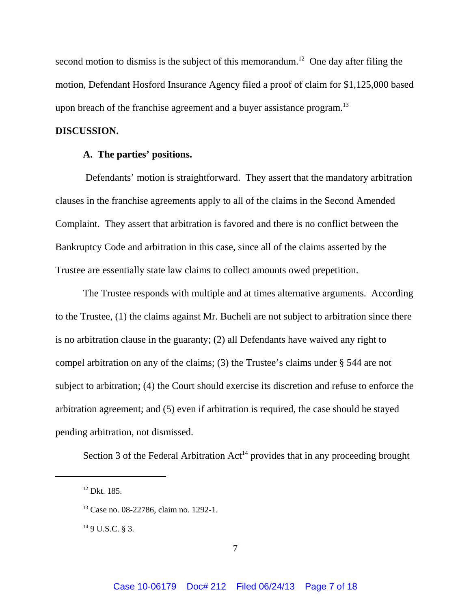second motion to dismiss is the subject of this memorandum.<sup>12</sup> One day after filing the motion, Defendant Hosford Insurance Agency filed a proof of claim for \$1,125,000 based upon breach of the franchise agreement and a buyer assistance program.<sup>13</sup>

## **DISCUSSION.**

## **A. The parties' positions.**

 Defendants' motion is straightforward. They assert that the mandatory arbitration clauses in the franchise agreements apply to all of the claims in the Second Amended Complaint. They assert that arbitration is favored and there is no conflict between the Bankruptcy Code and arbitration in this case, since all of the claims asserted by the Trustee are essentially state law claims to collect amounts owed prepetition.

The Trustee responds with multiple and at times alternative arguments. According to the Trustee, (1) the claims against Mr. Bucheli are not subject to arbitration since there is no arbitration clause in the guaranty; (2) all Defendants have waived any right to compel arbitration on any of the claims; (3) the Trustee's claims under § 544 are not subject to arbitration; (4) the Court should exercise its discretion and refuse to enforce the arbitration agreement; and (5) even if arbitration is required, the case should be stayed pending arbitration, not dismissed.

Section 3 of the Federal Arbitration  $Act^{14}$  provides that in any proceeding brought

 $149$  U.S.C. § 3.

<sup>&</sup>lt;sup>12</sup> Dkt. 185.

<sup>13</sup> Case no. 08-22786, claim no. 1292-1.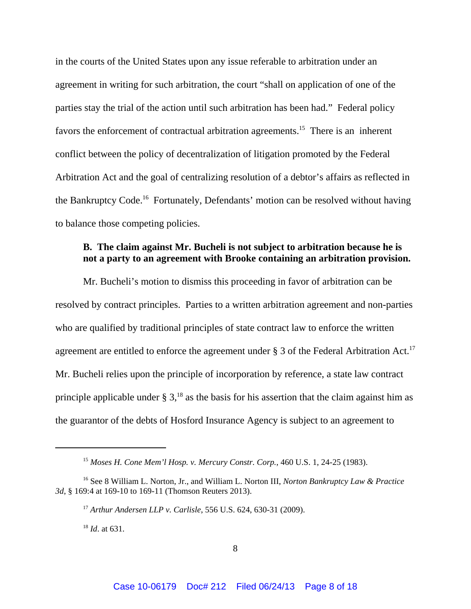in the courts of the United States upon any issue referable to arbitration under an agreement in writing for such arbitration, the court "shall on application of one of the parties stay the trial of the action until such arbitration has been had." Federal policy favors the enforcement of contractual arbitration agreements.15 There is an inherent conflict between the policy of decentralization of litigation promoted by the Federal Arbitration Act and the goal of centralizing resolution of a debtor's affairs as reflected in the Bankruptcy Code.<sup>16</sup> Fortunately, Defendants' motion can be resolved without having to balance those competing policies.

## **B. The claim against Mr. Bucheli is not subject to arbitration because he is not a party to an agreement with Brooke containing an arbitration provision.**

Mr. Bucheli's motion to dismiss this proceeding in favor of arbitration can be resolved by contract principles. Parties to a written arbitration agreement and non-parties who are qualified by traditional principles of state contract law to enforce the written agreement are entitled to enforce the agreement under  $\S 3$  of the Federal Arbitration Act.<sup>17</sup> Mr. Bucheli relies upon the principle of incorporation by reference, a state law contract principle applicable under  $\S 3$ ,<sup>18</sup> as the basis for his assertion that the claim against him as the guarantor of the debts of Hosford Insurance Agency is subject to an agreement to

<sup>18</sup> *Id*. at 631.

<sup>15</sup> *Moses H. Cone Mem'l Hosp. v. Mercury Constr. Corp.*, 460 U.S. 1, 24-25 (1983).

<sup>16</sup> See 8 William L. Norton, Jr., and William L. Norton III, *Norton Bankruptcy Law & Practice 3d*, § 169:4 at 169-10 to 169-11 (Thomson Reuters 2013).

<sup>17</sup> *Arthur Andersen LLP v. Carlisle*, 556 U.S. 624, 630-31 (2009).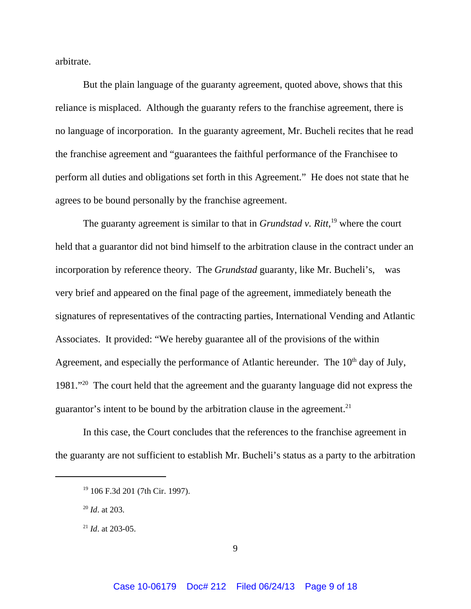arbitrate.

But the plain language of the guaranty agreement, quoted above, shows that this reliance is misplaced. Although the guaranty refers to the franchise agreement, there is no language of incorporation. In the guaranty agreement, Mr. Bucheli recites that he read the franchise agreement and "guarantees the faithful performance of the Franchisee to perform all duties and obligations set forth in this Agreement." He does not state that he agrees to be bound personally by the franchise agreement.

The guaranty agreement is similar to that in *Grundstad v. Ritt*,<sup>19</sup> where the court held that a guarantor did not bind himself to the arbitration clause in the contract under an incorporation by reference theory. The *Grundstad* guaranty, like Mr. Bucheli's, was very brief and appeared on the final page of the agreement, immediately beneath the signatures of representatives of the contracting parties, International Vending and Atlantic Associates. It provided: "We hereby guarantee all of the provisions of the within Agreement, and especially the performance of Atlantic hereunder. The  $10<sup>th</sup>$  day of July, 1981."20 The court held that the agreement and the guaranty language did not express the guarantor's intent to be bound by the arbitration clause in the agreement.<sup>21</sup>

In this case, the Court concludes that the references to the franchise agreement in the guaranty are not sufficient to establish Mr. Bucheli's status as a party to the arbitration

<sup>19 106</sup> F.3d 201 (7th Cir. 1997).

<sup>20</sup> *Id*. at 203.

<sup>21</sup> *Id*. at 203-05.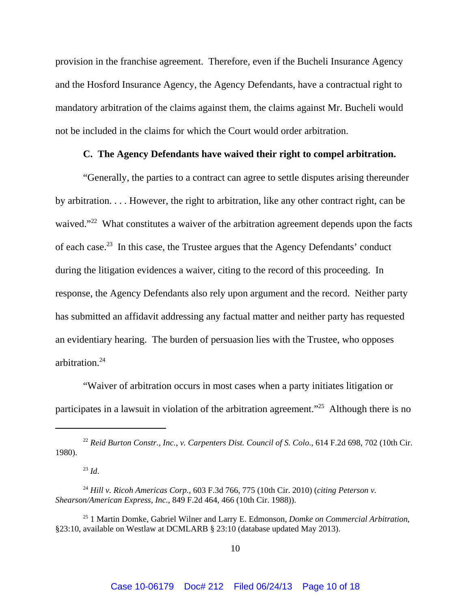provision in the franchise agreement. Therefore, even if the Bucheli Insurance Agency and the Hosford Insurance Agency, the Agency Defendants, have a contractual right to mandatory arbitration of the claims against them, the claims against Mr. Bucheli would not be included in the claims for which the Court would order arbitration.

## **C. The Agency Defendants have waived their right to compel arbitration.**

"Generally, the parties to a contract can agree to settle disputes arising thereunder by arbitration. . . . However, the right to arbitration, like any other contract right, can be waived."<sup>22</sup> What constitutes a waiver of the arbitration agreement depends upon the facts of each case.23 In this case, the Trustee argues that the Agency Defendants' conduct during the litigation evidences a waiver, citing to the record of this proceeding. In response, the Agency Defendants also rely upon argument and the record. Neither party has submitted an affidavit addressing any factual matter and neither party has requested an evidentiary hearing. The burden of persuasion lies with the Trustee, who opposes arbitration.24

"Waiver of arbitration occurs in most cases when a party initiates litigation or participates in a lawsuit in violation of the arbitration agreement."25 Although there is no

<sup>23</sup> *Id*.

<sup>22</sup> *Reid Burton Constr., Inc., v. Carpenters Dist. Council of S. Colo.*, 614 F.2d 698, 702 (10th Cir. 1980).

<sup>24</sup> *Hill v. Ricoh Americas Corp.*, 603 F.3d 766, 775 (10th Cir. 2010) (*citing Peterson v. Shearson/American Express, Inc.*, 849 F.2d 464, 466 (10th Cir. 1988)).

<sup>25 1</sup> Martin Domke, Gabriel Wilner and Larry E. Edmonson, *Domke on Commercial Arbitration*, §23:10, available on Westlaw at DCMLARB § 23:10 (database updated May 2013).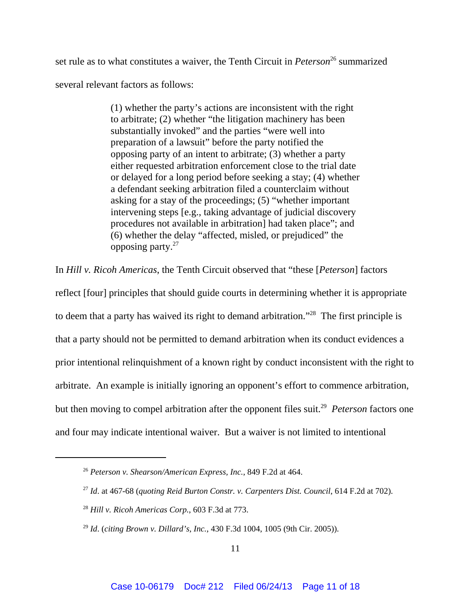set rule as to what constitutes a waiver, the Tenth Circuit in *Peterson*<sup>26</sup> summarized several relevant factors as follows:

> (1) whether the party's actions are inconsistent with the right to arbitrate; (2) whether "the litigation machinery has been substantially invoked" and the parties "were well into preparation of a lawsuit" before the party notified the opposing party of an intent to arbitrate; (3) whether a party either requested arbitration enforcement close to the trial date or delayed for a long period before seeking a stay; (4) whether a defendant seeking arbitration filed a counterclaim without asking for a stay of the proceedings; (5) "whether important intervening steps [e.g., taking advantage of judicial discovery procedures not available in arbitration] had taken place"; and (6) whether the delay "affected, misled, or prejudiced" the opposing party. $27$

In *Hill v. Ricoh Americas*, the Tenth Circuit observed that "these [*Peterson*] factors

reflect [four] principles that should guide courts in determining whether it is appropriate to deem that a party has waived its right to demand arbitration."28 The first principle is that a party should not be permitted to demand arbitration when its conduct evidences a prior intentional relinquishment of a known right by conduct inconsistent with the right to arbitrate. An example is initially ignoring an opponent's effort to commence arbitration, but then moving to compel arbitration after the opponent files suit.<sup>29</sup> *Peterson* factors one and four may indicate intentional waiver. But a waiver is not limited to intentional

<sup>26</sup> *Peterson v. Shearson/American Express, Inc.*, 849 F.2d at 464.

<sup>27</sup> *Id*. at 467-68 (*quoting Reid Burton Constr. v. Carpenters Dist. Council*, 614 F.2d at 702).

<sup>28</sup> *Hill v. Ricoh Americas Corp.*, 603 F.3d at 773.

<sup>29</sup> *Id*. (*citing Brown v. Dillard's, Inc.*, 430 F.3d 1004, 1005 (9th Cir. 2005)).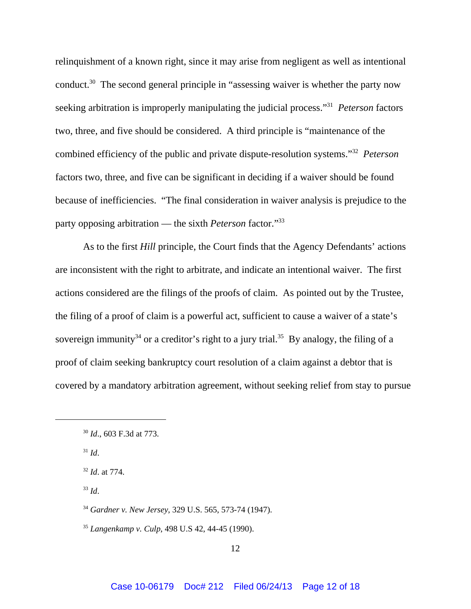relinquishment of a known right, since it may arise from negligent as well as intentional conduct.<sup>30</sup> The second general principle in "assessing waiver is whether the party now seeking arbitration is improperly manipulating the judicial process."31 *Peterson* factors two, three, and five should be considered. A third principle is "maintenance of the combined efficiency of the public and private dispute-resolution systems."32 *Peterson* factors two, three, and five can be significant in deciding if a waiver should be found because of inefficiencies. "The final consideration in waiver analysis is prejudice to the party opposing arbitration — the sixth *Peterson* factor."33

As to the first *Hill* principle, the Court finds that the Agency Defendants' actions are inconsistent with the right to arbitrate, and indicate an intentional waiver. The first actions considered are the filings of the proofs of claim. As pointed out by the Trustee, the filing of a proof of claim is a powerful act, sufficient to cause a waiver of a state's sovereign immunity<sup>34</sup> or a creditor's right to a jury trial.<sup>35</sup> By analogy, the filing of a proof of claim seeking bankruptcy court resolution of a claim against a debtor that is covered by a mandatory arbitration agreement, without seeking relief from stay to pursue

 $31$  *Id.* 

- <sup>33</sup> *Id*.
- <sup>34</sup> *Gardner v. New Jersey*, 329 U.S. 565, 573-74 (1947).
- <sup>35</sup> *Langenkamp v. Culp*, 498 U.S 42, 44-45 (1990).

<sup>30</sup> *Id*., 603 F.3d at 773.

<sup>32</sup> *Id*. at 774.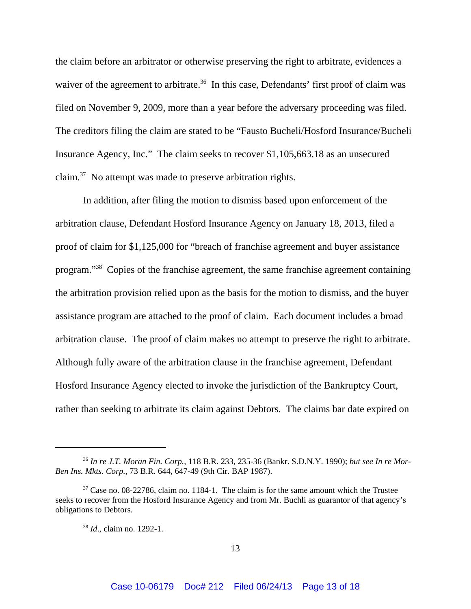the claim before an arbitrator or otherwise preserving the right to arbitrate, evidences a waiver of the agreement to arbitrate.<sup>36</sup> In this case, Defendants' first proof of claim was filed on November 9, 2009, more than a year before the adversary proceeding was filed. The creditors filing the claim are stated to be "Fausto Bucheli/Hosford Insurance/Bucheli Insurance Agency, Inc." The claim seeks to recover \$1,105,663.18 as an unsecured claim.37 No attempt was made to preserve arbitration rights.

In addition, after filing the motion to dismiss based upon enforcement of the arbitration clause, Defendant Hosford Insurance Agency on January 18, 2013, filed a proof of claim for \$1,125,000 for "breach of franchise agreement and buyer assistance program."38 Copies of the franchise agreement, the same franchise agreement containing the arbitration provision relied upon as the basis for the motion to dismiss, and the buyer assistance program are attached to the proof of claim. Each document includes a broad arbitration clause. The proof of claim makes no attempt to preserve the right to arbitrate. Although fully aware of the arbitration clause in the franchise agreement, Defendant Hosford Insurance Agency elected to invoke the jurisdiction of the Bankruptcy Court, rather than seeking to arbitrate its claim against Debtors. The claims bar date expired on

<sup>36</sup> *In re J.T. Moran Fin. Corp.*, 118 B.R. 233, 235-36 (Bankr. S.D.N.Y. 1990); *but see In re Mor-Ben Ins. Mkts. Corp.*, 73 B.R. 644, 647-49 (9th Cir. BAP 1987).

<sup>&</sup>lt;sup>37</sup> Case no. 08-22786, claim no. 1184-1. The claim is for the same amount which the Trustee seeks to recover from the Hosford Insurance Agency and from Mr. Buchli as guarantor of that agency's obligations to Debtors.

<sup>38</sup> *Id*., claim no. 1292-1.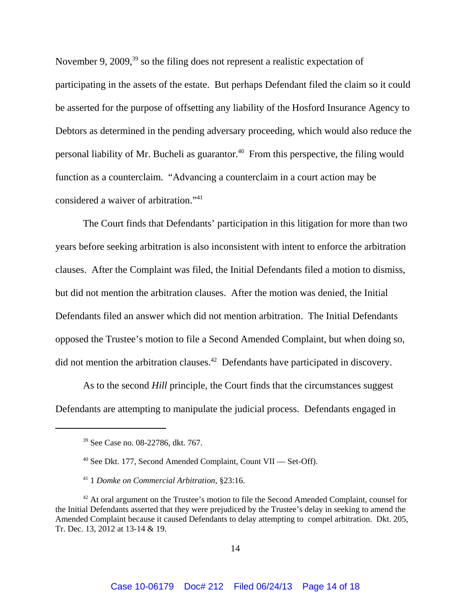November 9, 2009,<sup>39</sup> so the filing does not represent a realistic expectation of participating in the assets of the estate. But perhaps Defendant filed the claim so it could be asserted for the purpose of offsetting any liability of the Hosford Insurance Agency to Debtors as determined in the pending adversary proceeding, which would also reduce the personal liability of Mr. Bucheli as guarantor.<sup>40</sup> From this perspective, the filing would function as a counterclaim. "Advancing a counterclaim in a court action may be considered a waiver of arbitration."41

The Court finds that Defendants' participation in this litigation for more than two years before seeking arbitration is also inconsistent with intent to enforce the arbitration clauses. After the Complaint was filed, the Initial Defendants filed a motion to dismiss, but did not mention the arbitration clauses. After the motion was denied, the Initial Defendants filed an answer which did not mention arbitration. The Initial Defendants opposed the Trustee's motion to file a Second Amended Complaint, but when doing so, did not mention the arbitration clauses.42 Defendants have participated in discovery.

As to the second *Hill* principle, the Court finds that the circumstances suggest Defendants are attempting to manipulate the judicial process. Defendants engaged in

<sup>39</sup> See Case no. 08-22786, dkt. 767.

<sup>40</sup> See Dkt. 177, Second Amended Complaint, Count VII — Set-Off).

<sup>41 1</sup> *Domke on Commercial Arbitration*, §23:16.

<sup>&</sup>lt;sup>42</sup> At oral argument on the Trustee's motion to file the Second Amended Complaint, counsel for the Initial Defendants asserted that they were prejudiced by the Trustee's delay in seeking to amend the Amended Complaint because it caused Defendants to delay attempting to compel arbitration. Dkt. 205, Tr. Dec. 13, 2012 at 13-14 & 19.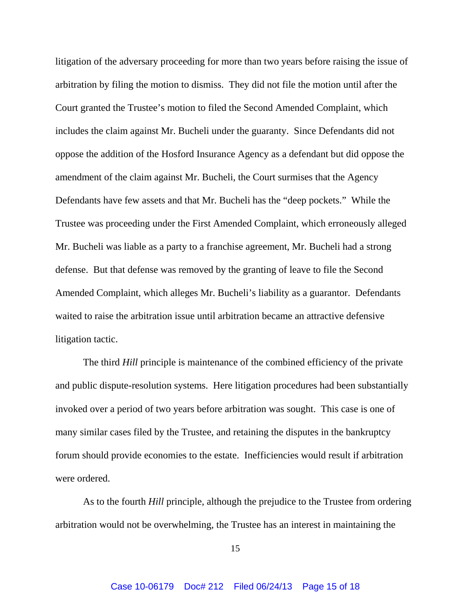litigation of the adversary proceeding for more than two years before raising the issue of arbitration by filing the motion to dismiss. They did not file the motion until after the Court granted the Trustee's motion to filed the Second Amended Complaint, which includes the claim against Mr. Bucheli under the guaranty. Since Defendants did not oppose the addition of the Hosford Insurance Agency as a defendant but did oppose the amendment of the claim against Mr. Bucheli, the Court surmises that the Agency Defendants have few assets and that Mr. Bucheli has the "deep pockets." While the Trustee was proceeding under the First Amended Complaint, which erroneously alleged Mr. Bucheli was liable as a party to a franchise agreement, Mr. Bucheli had a strong defense. But that defense was removed by the granting of leave to file the Second Amended Complaint, which alleges Mr. Bucheli's liability as a guarantor. Defendants waited to raise the arbitration issue until arbitration became an attractive defensive litigation tactic.

The third *Hill* principle is maintenance of the combined efficiency of the private and public dispute-resolution systems. Here litigation procedures had been substantially invoked over a period of two years before arbitration was sought. This case is one of many similar cases filed by the Trustee, and retaining the disputes in the bankruptcy forum should provide economies to the estate. Inefficiencies would result if arbitration were ordered.

As to the fourth *Hill* principle, although the prejudice to the Trustee from ordering arbitration would not be overwhelming, the Trustee has an interest in maintaining the

15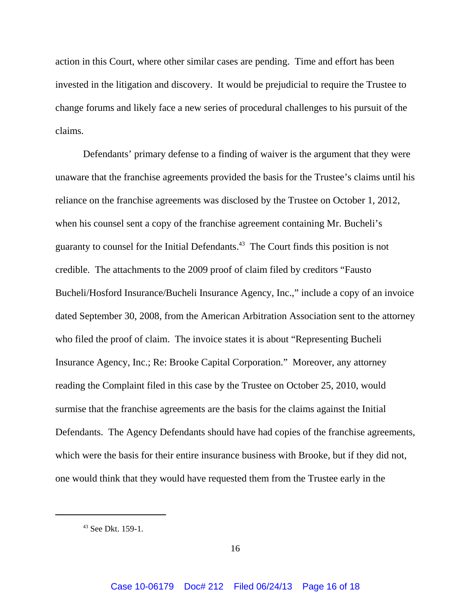action in this Court, where other similar cases are pending. Time and effort has been invested in the litigation and discovery. It would be prejudicial to require the Trustee to change forums and likely face a new series of procedural challenges to his pursuit of the claims.

Defendants' primary defense to a finding of waiver is the argument that they were unaware that the franchise agreements provided the basis for the Trustee's claims until his reliance on the franchise agreements was disclosed by the Trustee on October 1, 2012, when his counsel sent a copy of the franchise agreement containing Mr. Bucheli's guaranty to counsel for the Initial Defendants.43 The Court finds this position is not credible. The attachments to the 2009 proof of claim filed by creditors "Fausto Bucheli/Hosford Insurance/Bucheli Insurance Agency, Inc.," include a copy of an invoice dated September 30, 2008, from the American Arbitration Association sent to the attorney who filed the proof of claim. The invoice states it is about "Representing Bucheli Insurance Agency, Inc.; Re: Brooke Capital Corporation." Moreover, any attorney reading the Complaint filed in this case by the Trustee on October 25, 2010, would surmise that the franchise agreements are the basis for the claims against the Initial Defendants. The Agency Defendants should have had copies of the franchise agreements, which were the basis for their entire insurance business with Brooke, but if they did not, one would think that they would have requested them from the Trustee early in the

<sup>43</sup> See Dkt. 159-1.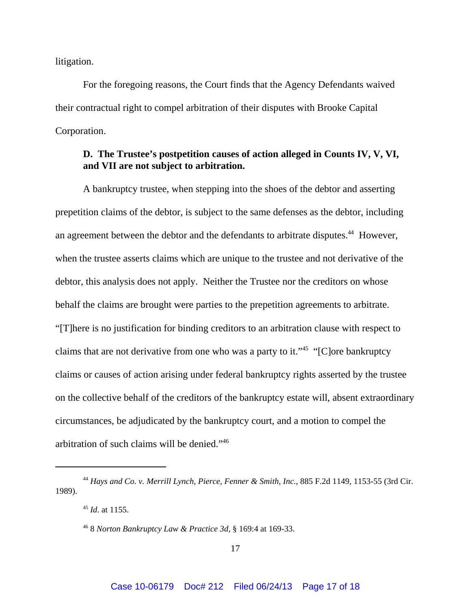litigation.

For the foregoing reasons, the Court finds that the Agency Defendants waived their contractual right to compel arbitration of their disputes with Brooke Capital Corporation.

## **D. The Trustee's postpetition causes of action alleged in Counts IV, V, VI, and VII are not subject to arbitration.**

A bankruptcy trustee, when stepping into the shoes of the debtor and asserting prepetition claims of the debtor, is subject to the same defenses as the debtor, including an agreement between the debtor and the defendants to arbitrate disputes.<sup>44</sup> However, when the trustee asserts claims which are unique to the trustee and not derivative of the debtor, this analysis does not apply. Neither the Trustee nor the creditors on whose behalf the claims are brought were parties to the prepetition agreements to arbitrate. "[T]here is no justification for binding creditors to an arbitration clause with respect to claims that are not derivative from one who was a party to it."<sup>45</sup> "[C]ore bankruptcy claims or causes of action arising under federal bankruptcy rights asserted by the trustee on the collective behalf of the creditors of the bankruptcy estate will, absent extraordinary circumstances, be adjudicated by the bankruptcy court, and a motion to compel the arbitration of such claims will be denied."46

<sup>44</sup> *Hays and Co. v. Merrill Lynch, Pierce, Fenner & Smith, Inc.*, 885 F.2d 1149, 1153-55 (3rd Cir. 1989).

<sup>45</sup> *Id*. at 1155.

<sup>46 8</sup> *Norton Bankruptcy Law & Practice 3d*, § 169:4 at 169-33.